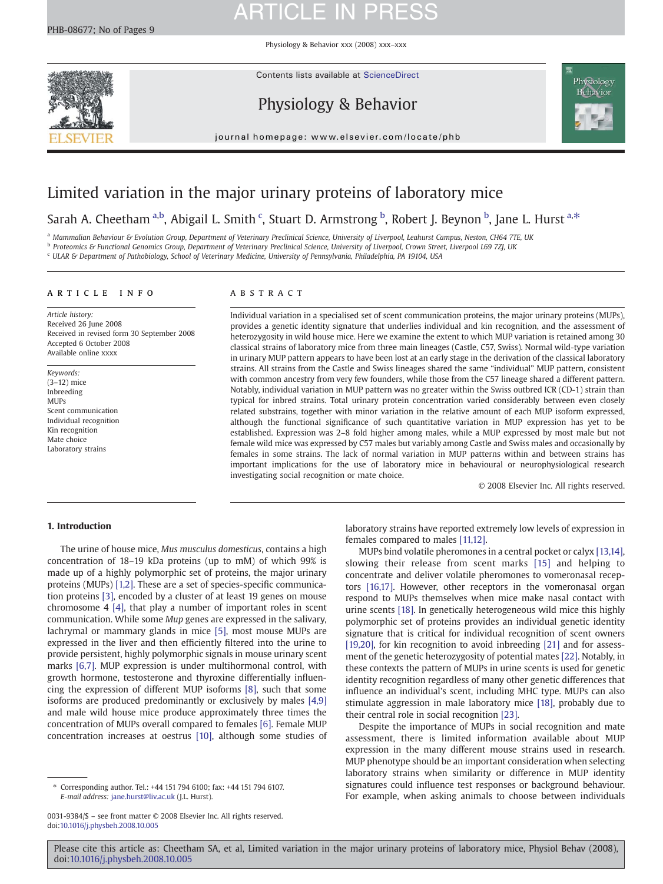Physiology & Behavior xxx (2008) xxx–xxx

Contents lists available at ScienceDirect

## Physiology & Behavior



journal homepage: www.elsevier.com/locate/phb

### Limited variation in the major urinary proteins of laboratory mice

Sarah A. Cheetham <sup>a,b</sup>, Abigail L. Smith <sup>c</sup>, Stuart D. Armstrong <sup>b</sup>, Robert J. Beynon <sup>b</sup>, Jane L. Hurst <sup>a,\*</sup>

a Mammalian Behaviour & Evolution Group, Department of Veterinary Preclinical Science, University of Liverpool, Leahurst Campus, Neston, CH64 7TE, UK b Proteomics & Functional Genomics Group, Department of Veterinary Preclinical Science, University of Liverpool, Crown Street, Liverpool L69 7ZJ, UK

<sup>c</sup> ULAR & Department of Pathobiology, School of Veterinary Medicine, University of Pennsylvania, Philadelphia, PA 19104, USA

### article info abstract

Article history: Received 26 June 2008 Received in revised form 30 September 2008 Accepted 6 October 2008 Available online xxxx

Keywords: (3–12) mice Inbreeding MUPs Scent communication Individual recognition Kin recognition Mate choice Laboratory strains

Individual variation in a specialised set of scent communication proteins, the major urinary proteins (MUPs), provides a genetic identity signature that underlies individual and kin recognition, and the assessment of heterozygosity in wild house mice. Here we examine the extent to which MUP variation is retained among 30 classical strains of laboratory mice from three main lineages (Castle, C57, Swiss). Normal wild-type variation in urinary MUP pattern appears to have been lost at an early stage in the derivation of the classical laboratory strains. All strains from the Castle and Swiss lineages shared the same "individual" MUP pattern, consistent with common ancestry from very few founders, while those from the C57 lineage shared a different pattern. Notably, individual variation in MUP pattern was no greater within the Swiss outbred ICR (CD-1) strain than typical for inbred strains. Total urinary protein concentration varied considerably between even closely related substrains, together with minor variation in the relative amount of each MUP isoform expressed, although the functional significance of such quantitative variation in MUP expression has yet to be established. Expression was 2–8 fold higher among males, while a MUP expressed by most male but not female wild mice was expressed by C57 males but variably among Castle and Swiss males and occasionally by females in some strains. The lack of normal variation in MUP patterns within and between strains has important implications for the use of laboratory mice in behavioural or neurophysiological research investigating social recognition or mate choice.

© 2008 Elsevier Inc. All rights reserved.

### 1. Introduction

The urine of house mice, Mus musculus domesticus, contains a high concentration of 18–19 kDa proteins (up to mM) of which 99% is made up of a highly polymorphic set of proteins, the major urinary proteins (MUPs) [\[1,2\].](#page-7-0) These are a set of species-specific communication proteins [\[3\],](#page-7-0) encoded by a cluster of at least 19 genes on mouse chromosome 4 [\[4\]](#page-7-0), that play a number of important roles in scent communication. While some Mup genes are expressed in the salivary, lachrymal or mammary glands in mice [\[5\]](#page-7-0), most mouse MUPs are expressed in the liver and then efficiently filtered into the urine to provide persistent, highly polymorphic signals in mouse urinary scent marks [\[6,7\].](#page-7-0) MUP expression is under multihormonal control, with growth hormone, testosterone and thyroxine differentially influencing the expression of different MUP isoforms [\[8\]](#page-7-0), such that some isoforms are produced predominantly or exclusively by males [\[4,9\]](#page-7-0) and male wild house mice produce approximately three times the concentration of MUPs overall compared to females [\[6\].](#page-7-0) Female MUP concentration increases at oestrus [\[10\]](#page-7-0), although some studies of laboratory strains have reported extremely low levels of expression in females compared to males [\[11,12\]](#page-7-0).

MUPs bind volatile pheromones in a central pocket or calyx [\[13,14\],](#page-7-0) slowing their release from scent marks [\[15\]](#page-7-0) and helping to concentrate and deliver volatile pheromones to vomeronasal receptors [\[16,17\]](#page-7-0). However, other receptors in the vomeronasal organ respond to MUPs themselves when mice make nasal contact with urine scents [\[18\].](#page-7-0) In genetically heterogeneous wild mice this highly polymorphic set of proteins provides an individual genetic identity signature that is critical for individual recognition of scent owners [\[19,20\],](#page-7-0) for kin recognition to avoid inbreeding [\[21\]](#page-7-0) and for assessment of the genetic heterozygosity of potential mates [\[22\]](#page-7-0). Notably, in these contexts the pattern of MUPs in urine scents is used for genetic identity recognition regardless of many other genetic differences that influence an individual's scent, including MHC type. MUPs can also stimulate aggression in male laboratory mice [\[18\],](#page-7-0) probably due to their central role in social recognition [\[23\].](#page-7-0)

Despite the importance of MUPs in social recognition and mate assessment, there is limited information available about MUP expression in the many different mouse strains used in research. MUP phenotype should be an important consideration when selecting laboratory strains when similarity or difference in MUP identity signatures could influence test responses or background behaviour. For example, when asking animals to choose between individuals

<sup>⁎</sup> Corresponding author. Tel.: +44 151 794 6100; fax: +44 151 794 6107. E-mail address: [jane.hurst@liv.ac.uk](mailto:jane.hurst@liv.ac.uk) (J.L. Hurst).

<sup>0031-9384/\$</sup> – see front matter © 2008 Elsevier Inc. All rights reserved. doi:[10.1016/j.physbeh.2008.10.005](http://dx.doi.org/10.1016/j.physbeh.2008.10.005)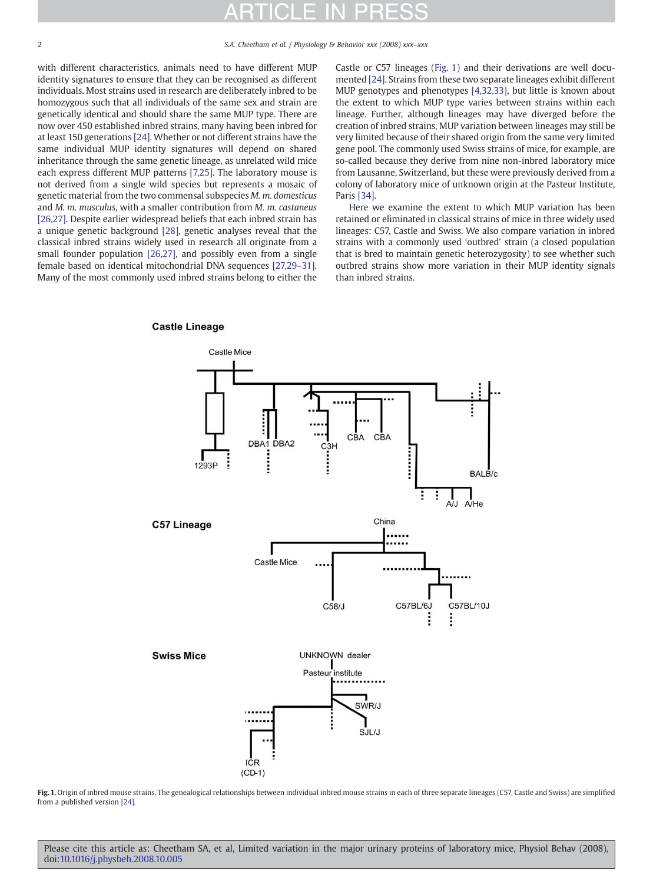2 S.A. Cheetham et al. / Physiology & Behavior xxx (2008) xxx–xxx

with different characteristics, animals need to have different MUP identity signatures to ensure that they can be recognised as different individuals. Most strains used in research are deliberately inbred to be homozygous such that all individuals of the same sex and strain are genetically identical and should share the same MUP type. There are now over 450 established inbred strains, many having been inbred for at least 150 generations [\[24\].](#page-7-0) Whether or not different strains have the same individual MUP identity signatures will depend on shared inheritance through the same genetic lineage, as unrelated wild mice each express different MUP patterns [\[7,25\]](#page-7-0). The laboratory mouse is not derived from a single wild species but represents a mosaic of genetic material from the two commensal subspecies M. m. domesticus and M. m. musculus, with a smaller contribution from M. m. castaneus [\[26,27\]](#page-7-0). Despite earlier widespread beliefs that each inbred strain has a unique genetic background [\[28\]](#page-7-0), genetic analyses reveal that the classical inbred strains widely used in research all originate from a small founder population [\[26,27\],](#page-7-0) and possibly even from a single female based on identical mitochondrial DNA sequences [\[27,29](#page-7-0)–31]. Many of the most commonly used inbred strains belong to either the

Castle or C57 lineages (Fig. 1) and their derivations are well documented [\[24\].](#page-7-0) Strains from these two separate lineages exhibit different MUP genotypes and phenotypes [\[4,32,33\],](#page-7-0) but little is known about the extent to which MUP type varies between strains within each lineage. Further, although lineages may have diverged before the creation of inbred strains, MUP variation between lineages may still be very limited because of their shared origin from the same very limited gene pool. The commonly used Swiss strains of mice, for example, are so-called because they derive from nine non-inbred laboratory mice from Lausanne, Switzerland, but these were previously derived from a colony of laboratory mice of unknown origin at the Pasteur Institute, Paris [\[34\]](#page-8-0).

Here we examine the extent to which MUP variation has been retained or eliminated in classical strains of mice in three widely used lineages: C57, Castle and Swiss. We also compare variation in inbred strains with a commonly used 'outbred' strain (a closed population that is bred to maintain genetic heterozygosity) to see whether such outbred strains show more variation in their MUP identity signals than inbred strains.

### **Castle Lineage**



Fig. 1. Origin of inbred mouse strains. The genealogical relationships between individual inbred mouse strains in each of three separate lineages (C57, Castle and Swiss) are simplified from a published version [\[24\].](#page-7-0)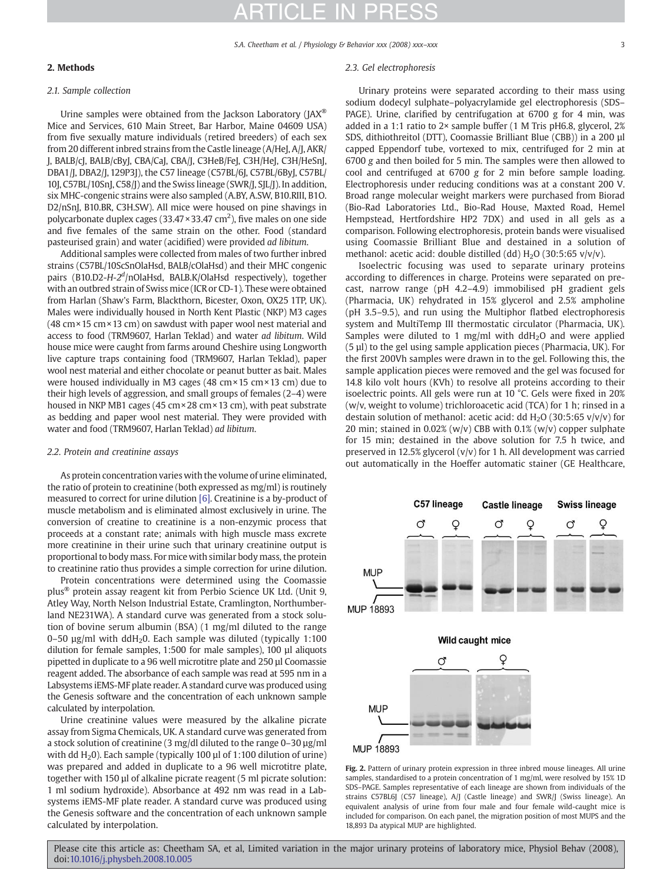### <span id="page-2-0"></span>2. Methods

#### 2.1. Sample collection

Urine samples were obtained from the Jackson Laboratory (JAX® Mice and Services, 610 Main Street, Bar Harbor, Maine 04609 USA) from five sexually mature individuals (retired breeders) of each sex from 20 different inbred strains from the Castle lineage (A/HeJ, A/J, AKR/ J, BALB/cJ, BALB/cByJ, CBA/CaJ, CBA/J, C3HeB/FeJ, C3H/HeJ, C3H/HeSnJ, DBA1/J, DBA2/J, 129P3J), the C57 lineage (C57BL/6J, C57BL/6ByJ, C57BL/ 10J, C57BL/10SnJ, C58/J) and the Swiss lineage (SWR/J, SJL/J). In addition, six MHC-congenic strains were also sampled (A.BY, A.SW, B10.RIII, B1O. D2/nSnJ, B10.BR, C3H.SW). All mice were housed on pine shavings in polycarbonate duplex cages (33.47  $\times$ 33.47 cm<sup>2</sup>), five males on one side and five females of the same strain on the other. Food (standard pasteurised grain) and water (acidified) were provided ad libitum.

Additional samples were collected from males of two further inbred strains (C57BL/10ScSnOlaHsd, BALB/cOlaHsd) and their MHC congenic pairs (B10.D2-H-2<sup>d</sup>/nOlaHsd, BALB.K/OlaHsd respectively), together with an outbred strain of Swiss mice (ICR or CD-1). These were obtained from Harlan (Shaw's Farm, Blackthorn, Bicester, Oxon, OX25 1TP, UK). Males were individually housed in North Kent Plastic (NKP) M3 cages (48 cm×15 cm×13 cm) on sawdust with paper wool nest material and access to food (TRM9607, Harlan Teklad) and water ad libitum. Wild house mice were caught from farms around Cheshire using Longworth live capture traps containing food (TRM9607, Harlan Teklad), paper wool nest material and either chocolate or peanut butter as bait. Males were housed individually in M3 cages (48 cm×15 cm×13 cm) due to their high levels of aggression, and small groups of females (2–4) were housed in NKP MB1 cages (45 cm×28 cm×13 cm), with peat substrate as bedding and paper wool nest material. They were provided with water and food (TRM9607, Harlan Teklad) ad libitum.

#### 2.2. Protein and creatinine assays

As protein concentration varies with the volume of urine eliminated, the ratio of protein to creatinine (both expressed as mg/ml) is routinely measured to correct for urine dilution [\[6\].](#page-7-0) Creatinine is a by-product of muscle metabolism and is eliminated almost exclusively in urine. The conversion of creatine to creatinine is a non-enzymic process that proceeds at a constant rate; animals with high muscle mass excrete more creatinine in their urine such that urinary creatinine output is proportional to body mass. For mice with similar body mass, the protein to creatinine ratio thus provides a simple correction for urine dilution.

Protein concentrations were determined using the Coomassie plus® protein assay reagent kit from Perbio Science UK Ltd. (Unit 9, Atley Way, North Nelson Industrial Estate, Cramlington, Northumberland NE231WA). A standard curve was generated from a stock solution of bovine serum albumin (BSA) (1 mg/ml diluted to the range 0–50  $\mu$ g/ml with ddH<sub>2</sub>0. Each sample was diluted (typically 1:100 dilution for female samples, 1:500 for male samples), 100 µl aliquots pipetted in duplicate to a 96 well microtitre plate and 250 µl Coomassie reagent added. The absorbance of each sample was read at 595 nm in a Labsystems iEMS-MF plate reader. A standard curve was produced using the Genesis software and the concentration of each unknown sample calculated by interpolation.

Urine creatinine values were measured by the alkaline picrate assay from Sigma Chemicals, UK. A standard curve was generated from a stock solution of creatinine (3 mg/dl diluted to the range 0–30 µg/ml with dd  $H_2$ 0). Each sample (typically 100 µl of 1:100 dilution of urine) was prepared and added in duplicate to a 96 well microtitre plate, together with 150 µl of alkaline picrate reagent (5 ml picrate solution: 1 ml sodium hydroxide). Absorbance at 492 nm was read in a Labsystems iEMS-MF plate reader. A standard curve was produced using the Genesis software and the concentration of each unknown sample calculated by interpolation.

#### 2.3. Gel electrophoresis

Urinary proteins were separated according to their mass using sodium dodecyl sulphate–polyacrylamide gel electrophoresis (SDS– PAGE). Urine, clarified by centrifugation at 6700 g for 4 min, was added in a 1:1 ratio to 2× sample buffer (1 M Tris pH6.8, glycerol, 2% SDS, dithiothreitol (DTT), Coomassie Brilliant Blue (CBB)) in a 200 µl capped Eppendorf tube, vortexed to mix, centrifuged for 2 min at 6700 g and then boiled for 5 min. The samples were then allowed to cool and centrifuged at 6700 g for 2 min before sample loading. Electrophoresis under reducing conditions was at a constant 200 V. Broad range molecular weight markers were purchased from Biorad (Bio-Rad Laboratories Ltd., Bio-Rad House, Maxted Road, Hemel Hempstead, Hertfordshire HP2 7DX) and used in all gels as a comparison. Following electrophoresis, protein bands were visualised using Coomassie Brilliant Blue and destained in a solution of methanol: acetic acid: double distilled (dd)  $H_2O$  (30:5:65 v/v/v).

Isoelectric focusing was used to separate urinary proteins according to differences in charge. Proteins were separated on precast, narrow range (pH 4.2–4.9) immobilised pH gradient gels (Pharmacia, UK) rehydrated in 15% glycerol and 2.5% ampholine (pH 3.5–9.5), and run using the Multiphor flatbed electrophoresis system and MultiTemp III thermostatic circulator (Pharmacia, UK). Samples were diluted to 1 mg/ml with  $ddH<sub>2</sub>O$  and were applied  $(5 \mu l)$  to the gel using sample application pieces (Pharmacia, UK). For the first 200Vh samples were drawn in to the gel. Following this, the sample application pieces were removed and the gel was focused for 14.8 kilo volt hours (KVh) to resolve all proteins according to their isoelectric points. All gels were run at 10 °C. Gels were fixed in 20% (w/v, weight to volume) trichloroacetic acid (TCA) for 1 h; rinsed in a destain solution of methanol: acetic acid: dd  $H_2O(30:5:65 v/v/v)$  for 20 min; stained in 0.02% (w/v) CBB with  $0.1\%$  (w/v) copper sulphate for 15 min; destained in the above solution for 7.5 h twice, and preserved in 12.5% glycerol  $(v/v)$  for 1 h. All development was carried out automatically in the Hoeffer automatic stainer (GE Healthcare,



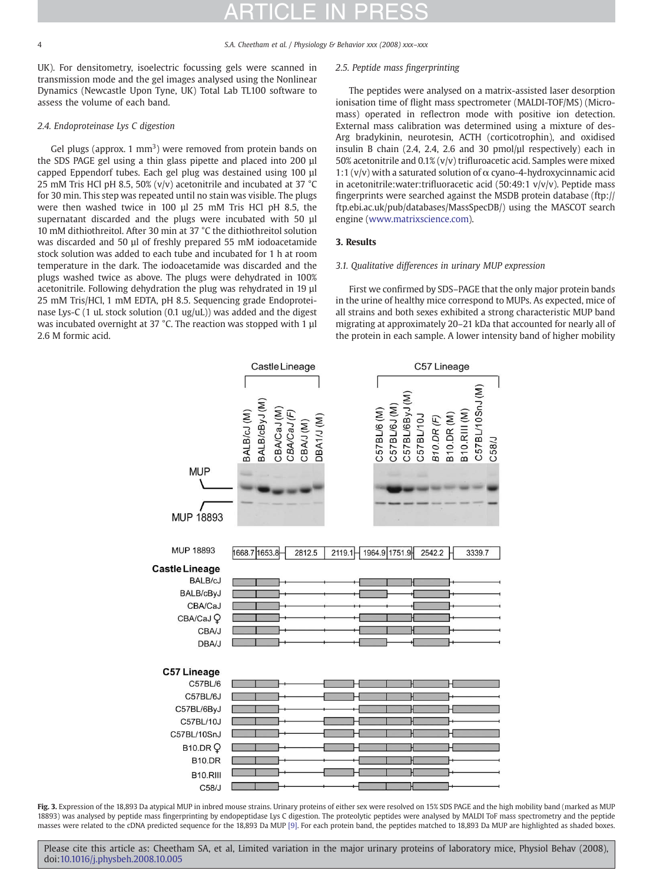<span id="page-3-0"></span>4 S.A. Cheetham et al. / Physiology & Behavior xxx (2008) xxx–xxx

UK). For densitometry, isoelectric focussing gels were scanned in transmission mode and the gel images analysed using the Nonlinear Dynamics (Newcastle Upon Tyne, UK) Total Lab TL100 software to assess the volume of each band.

### 2.4. Endoproteinase Lys C digestion

Gel plugs (approx.  $1 \text{ mm}^3$ ) were removed from protein bands on the SDS PAGE gel using a thin glass pipette and placed into 200 µl capped Eppendorf tubes. Each gel plug was destained using 100 µl 25 mM Tris HCl pH 8.5, 50% (v/v) acetonitrile and incubated at 37  $^{\circ}$ C for 30 min. This step was repeated until no stain was visible. The plugs were then washed twice in 100 µl 25 mM Tris HCl pH 8.5, the supernatant discarded and the plugs were incubated with 50 µl 10 mM dithiothreitol. After 30 min at 37 °C the dithiothreitol solution was discarded and 50 µl of freshly prepared 55 mM iodoacetamide stock solution was added to each tube and incubated for 1 h at room temperature in the dark. The iodoacetamide was discarded and the plugs washed twice as above. The plugs were dehydrated in 100% acetonitrile. Following dehydration the plug was rehydrated in 19 µl 25 mM Tris/HCl, 1 mM EDTA, pH 8.5. Sequencing grade Endoproteinase Lys-C (1 uL stock solution (0.1 ug/uL)) was added and the digest was incubated overnight at 37 °C. The reaction was stopped with 1 µl 2.6 M formic acid.

### 2.5. Peptide mass fingerprinting

The peptides were analysed on a matrix-assisted laser desorption ionisation time of flight mass spectrometer (MALDI-TOF/MS) (Micromass) operated in reflectron mode with positive ion detection. External mass calibration was determined using a mixture of des-Arg bradykinin, neurotesin, ACTH (corticotrophin), and oxidised insulin B chain (2.4, 2.4, 2.6 and 30 pmol/µl respectively) each in 50% acetonitrile and 0.1% (v/v) trifluroacetic acid. Samples were mixed 1:1 (v/v) with a saturated solution of  $\alpha$  cyano-4-hydroxycinnamic acid in acetonitrile: water: trifluoracetic acid  $(50:49:1 \text{ v/v/v})$ . Peptide mass fingerprints were searched against the MSDB protein database (ftp:// ftp.ebi.ac.uk/pub/databases/MassSpecDB/) using the MASCOT search engine [\(www.matrixscience.com](http://www.matrixscience.com)).

### 3. Results

### 3.1. Qualitative differences in urinary MUP expression

First we confirmed by SDS–PAGE that the only major protein bands in the urine of healthy mice correspond to MUPs. As expected, mice of all strains and both sexes exhibited a strong characteristic MUP band migrating at approximately 20–21 kDa that accounted for nearly all of the protein in each sample. A lower intensity band of higher mobility



Fig. 3. Expression of the 18,893 Da atypical MUP in inbred mouse strains. Urinary proteins of either sex were resolved on 15% SDS PAGE and the high mobility band (marked as MUP 18893) was analysed by peptide mass fingerprinting by endopeptidase Lys C digestion. The proteolytic peptides were analysed by MALDI ToF mass spectrometry and the peptide masses were related to the cDNA predicted sequence for the 18,893 Da MUP [\[9\]](#page-7-0). For each protein band, the peptides matched to 18,893 Da MUP are highlighted as shaded boxes.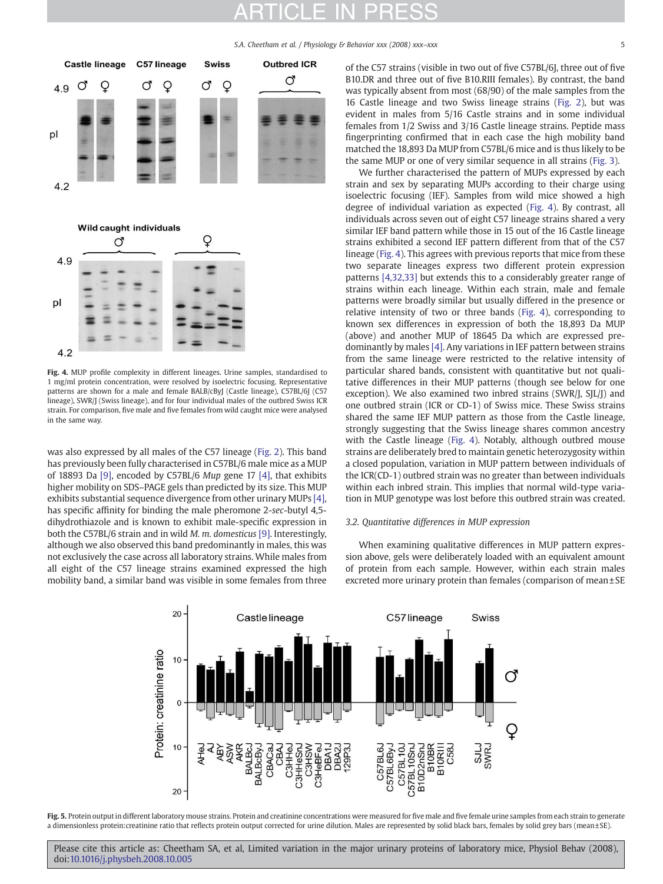S.A. Cheetham et al. / Physiology & Behavior xxx (2008) xxx-xxx

<span id="page-4-0"></span>

Fig. 4. MUP profile complexity in different lineages. Urine samples, standardised to 1 mg/ml protein concentration, were resolved by isoelectric focusing. Representative patterns are shown for a male and female BALB/cByJ (Castle lineage), C57BL/6J (C57 lineage), SWR/J (Swiss lineage), and for four individual males of the outbred Swiss ICR strain. For comparison, five male and five females from wild caught mice were analysed in the same way.

was also expressed by all males of the C57 lineage [\(Fig. 2\)](#page-2-0). This band has previously been fully characterised in C57BL/6 male mice as a MUP of 18893 Da [\[9\]](#page-7-0), encoded by C57BL/6 Mup gene 17 [\[4\],](#page-7-0) that exhibits higher mobility on SDS–PAGE gels than predicted by its size. This MUP exhibits substantial sequence divergence from other urinary MUPs [\[4\],](#page-7-0) has specific affinity for binding the male pheromone 2-sec-butyl 4,5 dihydrothiazole and is known to exhibit male-specific expression in both the C57BL/6 strain and in wild M. m. domesticus [\[9\].](#page-7-0) Interestingly, although we also observed this band predominantly in males, this was not exclusively the case across all laboratory strains. While males from all eight of the C57 lineage strains examined expressed the high mobility band, a similar band was visible in some females from three of the C57 strains (visible in two out of five C57BL/6J, three out of five B10.DR and three out of five B10.RIII females). By contrast, the band was typically absent from most (68/90) of the male samples from the 16 Castle lineage and two Swiss lineage strains [\(Fig. 2](#page-2-0)), but was evident in males from 5/16 Castle strains and in some individual females from 1/2 Swiss and 3/16 Castle lineage strains. Peptide mass fingerprinting confirmed that in each case the high mobility band matched the 18,893 Da MUP from C57BL/6 mice and is thus likely to be the same MUP or one of very similar sequence in all strains ([Fig. 3](#page-3-0)).

We further characterised the pattern of MUPs expressed by each strain and sex by separating MUPs according to their charge using isoelectric focusing (IEF). Samples from wild mice showed a high degree of individual variation as expected (Fig. 4). By contrast, all individuals across seven out of eight C57 lineage strains shared a very similar IEF band pattern while those in 15 out of the 16 Castle lineage strains exhibited a second IEF pattern different from that of the C57 lineage (Fig. 4). This agrees with previous reports that mice from these two separate lineages express two different protein expression patterns [\[4,32,33\]](#page-7-0) but extends this to a considerably greater range of strains within each lineage. Within each strain, male and female patterns were broadly similar but usually differed in the presence or relative intensity of two or three bands (Fig. 4), corresponding to known sex differences in expression of both the 18,893 Da MUP (above) and another MUP of 18645 Da which are expressed predominantly by males [\[4\].](#page-7-0) Any variations in IEF pattern between strains from the same lineage were restricted to the relative intensity of particular shared bands, consistent with quantitative but not qualitative differences in their MUP patterns (though see below for one exception). We also examined two inbred strains (SWR/J, SJL/J) and one outbred strain (ICR or CD-1) of Swiss mice. These Swiss strains shared the same IEF MUP pattern as those from the Castle lineage, strongly suggesting that the Swiss lineage shares common ancestry with the Castle lineage (Fig. 4). Notably, although outbred mouse strains are deliberately bred to maintain genetic heterozygosity within a closed population, variation in MUP pattern between individuals of the ICR(CD-1) outbred strain was no greater than between individuals within each inbred strain. This implies that normal wild-type variation in MUP genotype was lost before this outbred strain was created.

#### 3.2. Quantitative differences in MUP expression

When examining qualitative differences in MUP pattern expression above, gels were deliberately loaded with an equivalent amount of protein from each sample. However, within each strain males excreted more urinary protein than females (comparison of mean ± SE



Fig. 5. Protein output in different laboratory mouse strains. Protein and creatinine concentrations were measured for five male and five female urine samples from each strain to generate a dimensionless protein:creatinine ratio that reflects protein output corrected for urine dilution. Males are represented by solid black bars, females by solid grey bars (mean±SE).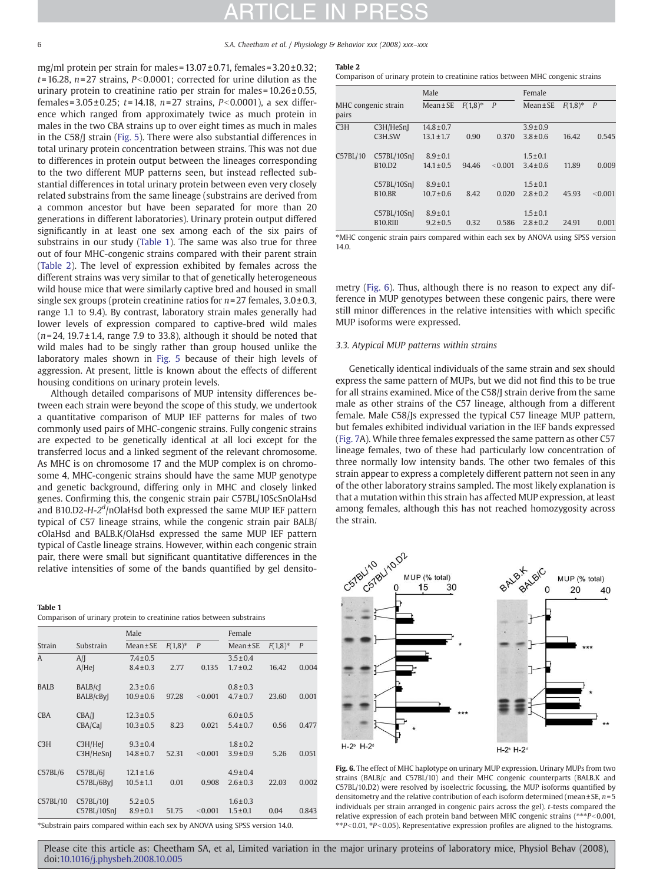<span id="page-5-0"></span>6 S.A. Cheetham et al. / Physiology & Behavior xxx (2008) xxx–xxx

mg/ml protein per strain for males =  $13.07 \pm 0.71$ , females =  $3.20 \pm 0.32$ ;  $t= 16.28$ ,  $n= 27$  strains,  $P< 0.0001$ ; corrected for urine dilution as the urinary protein to creatinine ratio per strain for males =  $10.26 \pm 0.55$ , females =  $3.05 \pm 0.25$ ; t = 14.18, n = 27 strains, P<0.0001), a sex difference which ranged from approximately twice as much protein in males in the two CBA strains up to over eight times as much in males in the C58/J strain ([Fig. 5](#page-4-0)). There were also substantial differences in total urinary protein concentration between strains. This was not due to differences in protein output between the lineages corresponding to the two different MUP patterns seen, but instead reflected substantial differences in total urinary protein between even very closely related substrains from the same lineage (substrains are derived from a common ancestor but have been separated for more than 20 generations in different laboratories). Urinary protein output differed significantly in at least one sex among each of the six pairs of substrains in our study (Table 1). The same was also true for three out of four MHC-congenic strains compared with their parent strain (Table 2). The level of expression exhibited by females across the different strains was very similar to that of genetically heterogeneous wild house mice that were similarly captive bred and housed in small single sex groups (protein creatinine ratios for  $n=27$  females,  $3.0\pm0.3$ , range 1.1 to 9.4). By contrast, laboratory strain males generally had lower levels of expression compared to captive-bred wild males  $(n=24, 19.7 \pm 1.4,$  range 7.9 to 33.8), although it should be noted that wild males had to be singly rather than group housed unlike the laboratory males shown in [Fig. 5](#page-4-0) because of their high levels of aggression. At present, little is known about the effects of different housing conditions on urinary protein levels.

Although detailed comparisons of MUP intensity differences between each strain were beyond the scope of this study, we undertook a quantitative comparison of MUP IEF patterns for males of two commonly used pairs of MHC-congenic strains. Fully congenic strains are expected to be genetically identical at all loci except for the transferred locus and a linked segment of the relevant chromosome. As MHC is on chromosome 17 and the MUP complex is on chromosome 4, MHC-congenic strains should have the same MUP genotype and genetic background, differing only in MHC and closely linked genes. Confirming this, the congenic strain pair C57BL/10ScSnOlaHsd and B10.D2-H-2<sup>d</sup>/nOlaHsd both expressed the same MUP IEF pattern typical of C57 lineage strains, while the congenic strain pair BALB/ cOlaHsd and BALB.K/OlaHsd expressed the same MUP IEF pattern typical of Castle lineage strains. However, within each congenic strain pair, there were small but significant quantitative differences in the relative intensities of some of the bands quantified by gel densito-

#### Table 1

Comparison of urinary protein to creatinine ratios between substrains

|            |                            | Male                             |            |         | Female                         |            |                  |
|------------|----------------------------|----------------------------------|------------|---------|--------------------------------|------------|------------------|
| Strain     | Substrain                  | $Mean \pm SE$                    | $F(1,8)^*$ | P       | $Mean \pm SE$                  | $F(1,8)^*$ | $\boldsymbol{P}$ |
| A          | A/I<br>$A/He$ <sup>[</sup> | $7.4 \pm 0.5$<br>$8.4 \pm 0.3$   | 2.77       | 0.135   | $3.5 \pm 0.4$<br>$1.7 \pm 0.2$ | 16.42      | 0.004            |
| BALB       | BALB/cJ<br>BALB/cByI       | $2.3 \pm 0.6$<br>$10.9 \pm 0.6$  | 97.28      | < 0.001 | $0.8 \pm 0.3$<br>$4.7 \pm 0.7$ | 23.60      | 0.001            |
| <b>CBA</b> | CBA/I<br>CBA/CaJ           | $12.3 \pm 0.5$<br>$10.3 \pm 0.5$ | 8.23       | 0.021   | $6.0 \pm 0.5$<br>$5.4 \pm 0.7$ | 0.56       | 0.477            |
| C3H        | C3H/Hel<br>C3H/HeSnI       | $9.3 \pm 0.4$<br>$14.8 \pm 0.7$  | 52.31      | < 0.001 | $1.8 \pm 0.2$<br>$3.9 \pm 0.9$ | 5.26       | 0.051            |
| C57BL/6    | C57BL/6I<br>C57BL/6ByI     | $12.1 \pm 1.6$<br>$10.5 \pm 1.1$ | 0.01       | 0.908   | $4.9 \pm 0.4$<br>$2.6 \pm 0.3$ | 22.03      | 0.002            |
| C57BL/10   | C57BL/10J<br>C57BL/10SnJ   | $5.2 \pm 0.5$<br>$8.9 \pm 0.1$   | 51.75      | < 0.001 | $1.6 \pm 0.3$<br>$1.5 \pm 0.1$ | 0.04       | 0.843            |

⁎Substrain pairs compared within each sex by ANOVA using SPSS version 14.0.

#### Table 2

Comparison of urinary protein to creatinine ratios between MHC congenic strains

|                              |                                 | Male           |            |         | Female        |            |                |
|------------------------------|---------------------------------|----------------|------------|---------|---------------|------------|----------------|
| MHC congenic strain<br>pairs |                                 | $Mean \pm SE$  | $F(1,8)^*$ | P       | $Mean \pm SE$ | $F(1,8)^*$ | $\overline{P}$ |
| C <sub>3</sub> H             | C3H/HeSnI                       | $14.8 \pm 0.7$ |            |         | $3.9 \pm 0.9$ |            |                |
|                              | C3H.SW                          | $13.1 \pm 1.7$ | 0.90       | 0.370   | $3.8 \pm 0.6$ | 16.42      | 0.545          |
| C57BL/10                     | C57BL/10SnJ                     | $8.9 \pm 0.1$  |            |         | $1.5 \pm 0.1$ |            |                |
|                              | B <sub>10</sub> .D <sub>2</sub> | $14.1 \pm 0.5$ | 94.46      | < 0.001 | $3.4 \pm 0.6$ | 11.89      | 0.009          |
|                              | C57BL/10Sn                      | $8.9 \pm 0.1$  |            |         | $1.5 \pm 0.1$ |            |                |
|                              | <b>B10.BR</b>                   | $10.7 \pm 0.6$ | 8.42       | 0.020   | $2.8 \pm 0.2$ | 45.93      | < 0.001        |
|                              | C57BL/10Sn                      | $8.9 \pm 0.1$  |            |         | $1.5 \pm 0.1$ |            |                |
|                              | B <sub>10</sub> .RIII           | $9.2 \pm 0.5$  | 0.32       | 0.586   | $2.8 \pm 0.2$ | 24.91      | 0.001          |

⁎MHC congenic strain pairs compared within each sex by ANOVA using SPSS version 14.0.

metry (Fig. 6). Thus, although there is no reason to expect any difference in MUP genotypes between these congenic pairs, there were still minor differences in the relative intensities with which specific MUP isoforms were expressed.

#### 3.3. Atypical MUP patterns within strains

Genetically identical individuals of the same strain and sex should express the same pattern of MUPs, but we did not find this to be true for all strains examined. Mice of the C58/J strain derive from the same male as other strains of the C57 lineage, although from a different female. Male C58/Js expressed the typical C57 lineage MUP pattern, but females exhibited individual variation in the IEF bands expressed ([Fig. 7](#page-6-0)A). While three females expressed the same pattern as other C57 lineage females, two of these had particularly low concentration of three normally low intensity bands. The other two females of this strain appear to express a completely different pattern not seen in any of the other laboratory strains sampled. The most likely explanation is that a mutation within this strain has affected MUP expression, at least among females, although this has not reached homozygosity across the strain.



Fig. 6. The effect of MHC haplotype on urinary MUP expression. Urinary MUPs from two strains (BALB/c and C57BL/10) and their MHC congenic counterparts (BALB.K and C57BL/10.D2) were resolved by isoelectric focussing, the MUP isoforms quantified by densitometry and the relative contribution of each isoform determined (mean  $\pm$  SE,  $n=5$ individuals per strain arranged in congenic pairs across the gel). t-tests compared the relative expression of each protein band between MHC congenic strains ( $**P<0.001$ ,  $*p<0.01$ ,  $*p<0.05$ ). Representative expression profiles are aligned to the histograms.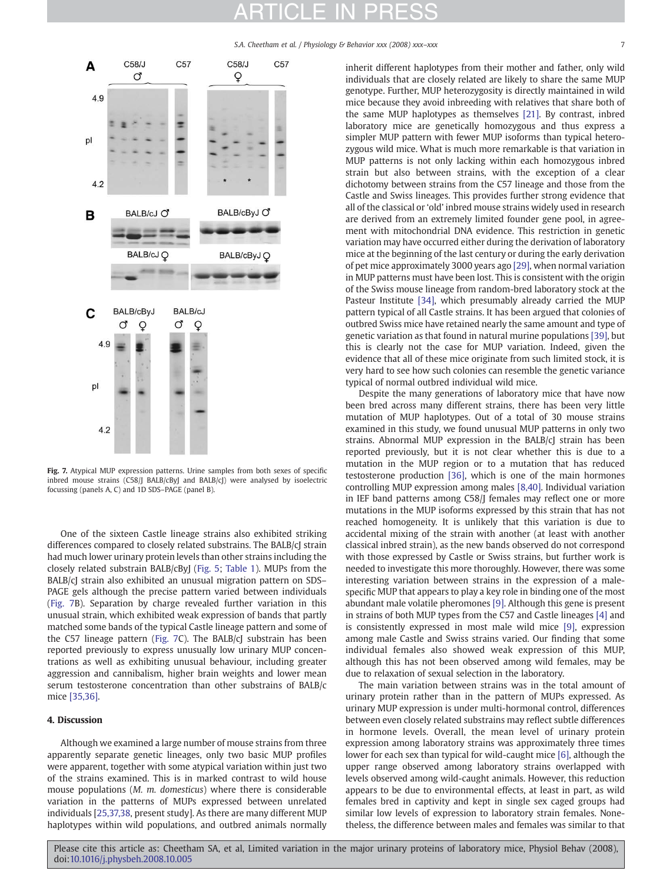S.A. Cheetham et al. / Physiology & Behavior xxx (2008) xxx-xxx

<span id="page-6-0"></span>

Fig. 7. Atypical MUP expression patterns. Urine samples from both sexes of specific inbred mouse strains (C58/J BALB/cByJ and BALB/cJ) were analysed by isoelectric focussing (panels A, C) and 1D SDS–PAGE (panel B).

One of the sixteen Castle lineage strains also exhibited striking differences compared to closely related substrains. The BALB/cJ strain had much lower urinary protein levels than other strains including the closely related substrain BALB/cByJ [\(Fig. 5](#page-4-0); [Table 1\)](#page-5-0). MUPs from the BALB/cJ strain also exhibited an unusual migration pattern on SDS– PAGE gels although the precise pattern varied between individuals (Fig. 7B). Separation by charge revealed further variation in this unusual strain, which exhibited weak expression of bands that partly matched some bands of the typical Castle lineage pattern and some of the C57 lineage pattern (Fig. 7C). The BALB/cJ substrain has been reported previously to express unusually low urinary MUP concentrations as well as exhibiting unusual behaviour, including greater aggression and cannibalism, higher brain weights and lower mean serum testosterone concentration than other substrains of BALB/c mice [\[35,36\].](#page-8-0)

#### 4. Discussion

Although we examined a large number of mouse strains from three apparently separate genetic lineages, only two basic MUP profiles were apparent, together with some atypical variation within just two of the strains examined. This is in marked contrast to wild house mouse populations (M. m. domesticus) where there is considerable variation in the patterns of MUPs expressed between unrelated individuals [\[25,37,38](#page-7-0), present study]. As there are many different MUP haplotypes within wild populations, and outbred animals normally inherit different haplotypes from their mother and father, only wild individuals that are closely related are likely to share the same MUP genotype. Further, MUP heterozygosity is directly maintained in wild mice because they avoid inbreeding with relatives that share both of the same MUP haplotypes as themselves [\[21\]](#page-7-0). By contrast, inbred laboratory mice are genetically homozygous and thus express a simpler MUP pattern with fewer MUP isoforms than typical heterozygous wild mice. What is much more remarkable is that variation in MUP patterns is not only lacking within each homozygous inbred strain but also between strains, with the exception of a clear dichotomy between strains from the C57 lineage and those from the Castle and Swiss lineages. This provides further strong evidence that all of the classical or 'old' inbred mouse strains widely used in research are derived from an extremely limited founder gene pool, in agreement with mitochondrial DNA evidence. This restriction in genetic variation may have occurred either during the derivation of laboratory mice at the beginning of the last century or during the early derivation of pet mice approximately 3000 years ago [\[29\],](#page-7-0) when normal variation in MUP patterns must have been lost. This is consistent with the origin of the Swiss mouse lineage from random-bred laboratory stock at the Pasteur Institute [\[34\]](#page-8-0), which presumably already carried the MUP pattern typical of all Castle strains. It has been argued that colonies of outbred Swiss mice have retained nearly the same amount and type of genetic variation as that found in natural murine populations [\[39\],](#page-8-0) but this is clearly not the case for MUP variation. Indeed, given the evidence that all of these mice originate from such limited stock, it is very hard to see how such colonies can resemble the genetic variance typical of normal outbred individual wild mice.

Despite the many generations of laboratory mice that have now been bred across many different strains, there has been very little mutation of MUP haplotypes. Out of a total of 30 mouse strains examined in this study, we found unusual MUP patterns in only two strains. Abnormal MUP expression in the BALB/cJ strain has been reported previously, but it is not clear whether this is due to a mutation in the MUP region or to a mutation that has reduced testosterone production [\[36\]](#page-8-0), which is one of the main hormones controlling MUP expression among males [\[8,40\]](#page-7-0). Individual variation in IEF band patterns among C58/J females may reflect one or more mutations in the MUP isoforms expressed by this strain that has not reached homogeneity. It is unlikely that this variation is due to accidental mixing of the strain with another (at least with another classical inbred strain), as the new bands observed do not correspond with those expressed by Castle or Swiss strains, but further work is needed to investigate this more thoroughly. However, there was some interesting variation between strains in the expression of a malespecific MUP that appears to play a key role in binding one of the most abundant male volatile pheromones [\[9\].](#page-7-0) Although this gene is present in strains of both MUP types from the C57 and Castle lineages [\[4\]](#page-7-0) and is consistently expressed in most male wild mice [\[9\],](#page-7-0) expression among male Castle and Swiss strains varied. Our finding that some individual females also showed weak expression of this MUP, although this has not been observed among wild females, may be due to relaxation of sexual selection in the laboratory.

The main variation between strains was in the total amount of urinary protein rather than in the pattern of MUPs expressed. As urinary MUP expression is under multi-hormonal control, differences between even closely related substrains may reflect subtle differences in hormone levels. Overall, the mean level of urinary protein expression among laboratory strains was approximately three times lower for each sex than typical for wild-caught mice [\[6\]](#page-7-0), although the upper range observed among laboratory strains overlapped with levels observed among wild-caught animals. However, this reduction appears to be due to environmental effects, at least in part, as wild females bred in captivity and kept in single sex caged groups had similar low levels of expression to laboratory strain females. Nonetheless, the difference between males and females was similar to that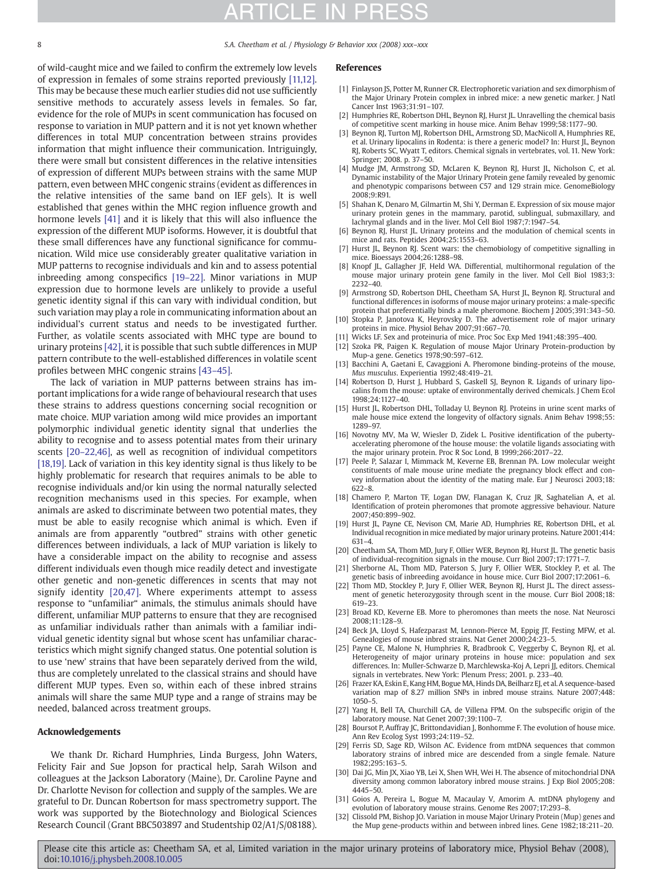# TICLE IN

<span id="page-7-0"></span>8 S.A. Cheetham et al. / Physiology & Behavior xxx (2008) xxx–xxx

of wild-caught mice and we failed to confirm the extremely low levels of expression in females of some strains reported previously [11,12]. This may be because these much earlier studies did not use sufficiently sensitive methods to accurately assess levels in females. So far, evidence for the role of MUPs in scent communication has focused on response to variation in MUP pattern and it is not yet known whether differences in total MUP concentration between strains provides information that might influence their communication. Intriguingly, there were small but consistent differences in the relative intensities of expression of different MUPs between strains with the same MUP pattern, even between MHC congenic strains (evident as differences in the relative intensities of the same band on IEF gels). It is well established that genes within the MHC region influence growth and hormone levels [\[41\]](#page-8-0) and it is likely that this will also influence the expression of the different MUP isoforms. However, it is doubtful that these small differences have any functional significance for communication. Wild mice use considerably greater qualitative variation in MUP patterns to recognise individuals and kin and to assess potential inbreeding among conspecifics [19–22]. Minor variations in MUP expression due to hormone levels are unlikely to provide a useful genetic identity signal if this can vary with individual condition, but such variation may play a role in communicating information about an individual's current status and needs to be investigated further. Further, as volatile scents associated with MHC type are bound to urinary proteins [\[42\],](#page-8-0) it is possible that such subtle differences in MUP pattern contribute to the well-established differences in volatile scent profiles between MHC congenic strains [43–[45\].](#page-8-0)

The lack of variation in MUP patterns between strains has important implications for a wide range of behavioural research that uses these strains to address questions concerning social recognition or mate choice. MUP variation among wild mice provides an important polymorphic individual genetic identity signal that underlies the ability to recognise and to assess potential mates from their urinary scents [20–22,46], as well as recognition of individual competitors [18,19]. Lack of variation in this key identity signal is thus likely to be highly problematic for research that requires animals to be able to recognise individuals and/or kin using the normal naturally selected recognition mechanisms used in this species. For example, when animals are asked to discriminate between two potential mates, they must be able to easily recognise which animal is which. Even if animals are from apparently "outbred" strains with other genetic differences between individuals, a lack of MUP variation is likely to have a considerable impact on the ability to recognise and assess different individuals even though mice readily detect and investigate other genetic and non-genetic differences in scents that may not signify identity [20,47]. Where experiments attempt to assess response to "unfamiliar" animals, the stimulus animals should have different, unfamiliar MUP patterns to ensure that they are recognised as unfamiliar individuals rather than animals with a familiar individual genetic identity signal but whose scent has unfamiliar characteristics which might signify changed status. One potential solution is to use 'new' strains that have been separately derived from the wild, thus are completely unrelated to the classical strains and should have different MUP types. Even so, within each of these inbred strains animals will share the same MUP type and a range of strains may be needed, balanced across treatment groups.

### Acknowledgements

We thank Dr. Richard Humphries, Linda Burgess, John Waters, Felicity Fair and Sue Jopson for practical help, Sarah Wilson and colleagues at the Jackson Laboratory (Maine), Dr. Caroline Payne and Dr. Charlotte Nevison for collection and supply of the samples. We are grateful to Dr. Duncan Robertson for mass spectrometry support. The work was supported by the Biotechnology and Biological Sciences Research Council (Grant BBC503897 and Studentship 02/A1/S/08188).

### References

- [1] Finlayson JS, Potter M, Runner CR. Electrophoretic variation and sex dimorphism of the Major Urinary Protein complex in inbred mice: a new genetic marker. J Natl Cancer Inst 1963;31:91–107.
- [2] Humphries RE, Robertson DHL, Beynon RI, Hurst IL, Unravelling the chemical basis of competitive scent marking in house mice. Anim Behav 1999;58:1177–90.
- [3] Beynon RJ, Turton MJ, Robertson DHL, Armstrong SD, MacNicoll A, Humphries RE, et al. Urinary lipocalins in Rodenta: is there a generic model? In: Hurst JL, Beynon RJ, Roberts SC, Wyatt T, editors. Chemical signals in vertebrates, vol. 11. New York: Springer; 2008. p. 37–50.
- [4] Mudge JM, Armstrong SD, McLaren K, Beynon RJ, Hurst JL, Nicholson C, et al. Dynamic instability of the Major Urinary Protein gene family revealed by genomic and phenotypic comparisons between C57 and 129 strain mice. GenomeBiology 2008;9:R91.
- [5] Shahan K, Denaro M, Gilmartin M, Shi Y, Derman E. Expression of six mouse major urinary protein genes in the mammary, parotid, sublingual, submaxillary, and lachrymal glands and in the liver. Mol Cell Biol 1987;7:1947–54.
- [6] Beynon RJ, Hurst JL. Urinary proteins and the modulation of chemical scents in mice and rats. Peptides 2004;25:1553–63.
- [7] Hurst JL, Beynon RJ. Scent wars: the chemobiology of competitive signalling in mice. Bioessays 2004;26:1288–98.
- [8] Knopf JL, Gallagher JF, Held WA. Differential, multihormonal regulation of the mouse major urinary protein gene family in the liver. Mol Cell Biol 1983;3: 2232–40.
- [9] Armstrong SD, Robertson DHL, Cheetham SA, Hurst JL, Beynon RJ. Structural and functional differences in isoforms of mouse major urinary proteins: a male-specific protein that preferentially binds a male pheromone. Biochem J 2005;391:343–50.
- [10] Stopka P, Janotova K, Heyrovsky D. The advertisement role of major urinary proteins in mice. Physiol Behav 2007;91:667–70.
- [11] Wicks LF. Sex and proteinuria of mice. Proc Soc Exp Med 1941;48:395–400.
- [12] Szoka PR, Paigen K. Regulation of mouse Major Urinary Protein-production by Mup-a gene. Genetics 1978;90:597–612.
- [13] Bacchini A, Gaetani E, Cavaggioni A. Pheromone binding-proteins of the mouse, Mus musculus. Experientia 1992;48:419–21.
- [14] Robertson D, Hurst J, Hubbard S, Gaskell SJ, Beynon R. Ligands of urinary lipocalins from the mouse: uptake of environmentally derived chemicals. J Chem Ecol 1998;24:1127–40.
- [15] Hurst JL, Robertson DHL, Tolladay U, Beynon RJ. Proteins in urine scent marks of male house mice extend the longevity of olfactory signals. Anim Behav 1998;55: 1289–97.
- [16] Novotny MV, Ma W, Wiesler D, Zidek L. Positive identification of the pubertyaccelerating pheromone of the house mouse: the volatile ligands associating with the major urinary protein. Proc R Soc Lond, B 1999;266:2017–22.
- [17] Peele P, Salazar I, Mimmack M, Keverne EB, Brennan PA. Low molecular weight constituents of male mouse urine mediate the pregnancy block effect and convey information about the identity of the mating male. Eur J Neurosci 2003;18: 622–8.
- [18] Chamero P, Marton TF, Logan DW, Flanagan K, Cruz JR, Saghatelian A, et al. Identification of protein pheromones that promote aggressive behaviour. Nature 2007;450:899–902.
- [19] Hurst JL, Payne CE, Nevison CM, Marie AD, Humphries RE, Robertson DHL, et al. Individual recognition in mice mediated by major urinary proteins. Nature 2001;414: 631–4.
- [20] Cheetham SA, Thom MD, Jury F, Ollier WER, Beynon RJ, Hurst JL. The genetic basis of individual-recognition signals in the mouse. Curr Biol 2007;17:1771–7.
- [21] Sherborne AL, Thom MD, Paterson S, Jury F, Ollier WER, Stockley P, et al. The genetic basis of inbreeding avoidance in house mice. Curr Biol 2007;17:2061–6.
- [22] Thom MD, Stockley P, Jury F, Ollier WER, Beynon RJ, Hurst JL. The direct assessment of genetic heterozygosity through scent in the mouse. Curr Biol 2008;18: 619–23.
- [23] Broad KD, Keverne EB. More to pheromones than meets the nose. Nat Neurosci 2008;11:128–9.
- [24] Beck JA, Lloyd S, Hafezparast M, Lennon-Pierce M, Eppig JT, Festing MFW, et al. Genealogies of mouse inbred strains. Nat Genet 2000;24:23–5.
- [25] Payne CE, Malone N, Humphries R, Bradbrook C, Veggerby C, Beynon RJ, et al. Heterogeneity of major urinary proteins in house mice: population and sex differences. In: Muller-Schwarze D, Marchlewska-Koj A, Lepri JJ, editors. Chemical signals in vertebrates. New York: Plenum Press; 2001. p. 233–40.
- [26] Frazer KA, Eskin E, Kang HM, Bogue MA, Hinds DA, Beilharz EJ, et al. A sequence-based variation map of 8.27 million SNPs in inbred mouse strains. Nature 2007;448: 1050–5.
- [27] Yang H, Bell TA, Churchill GA, de Villena FPM. On the subspecific origin of the laboratory mouse. Nat Genet 2007;39:1100–7.
- [28] Boursot P, Auffray JC, Brittondavidian J, Bonhomme F. The evolution of house mice. Ann Rev Ecolog Syst 1993;24:119–52.
- [29] Ferris SD, Sage RD, Wilson AC. Evidence from mtDNA sequences that common laboratory strains of inbred mice are descended from a single female. Nature 1982;295:163–5.
- [30] Dai JG, Min JX, Xiao YB, Lei X, Shen WH, Wei H. The absence of mitochondrial DNA diversity among common laboratory inbred mouse strains. J Exp Biol 2005;208: 4445–50.
- [31] Goios A, Pereira L, Bogue M, Macaulay V, Amorim A, mtDNA phylogeny and evolution of laboratory mouse strains. Genome Res 2007;17:293–8.
- [32] Clissold PM, Bishop JO. Variation in mouse Major Urinary Protein (Mup) genes and the Mup gene-products within and between inbred lines. Gene 1982;18:211–20.